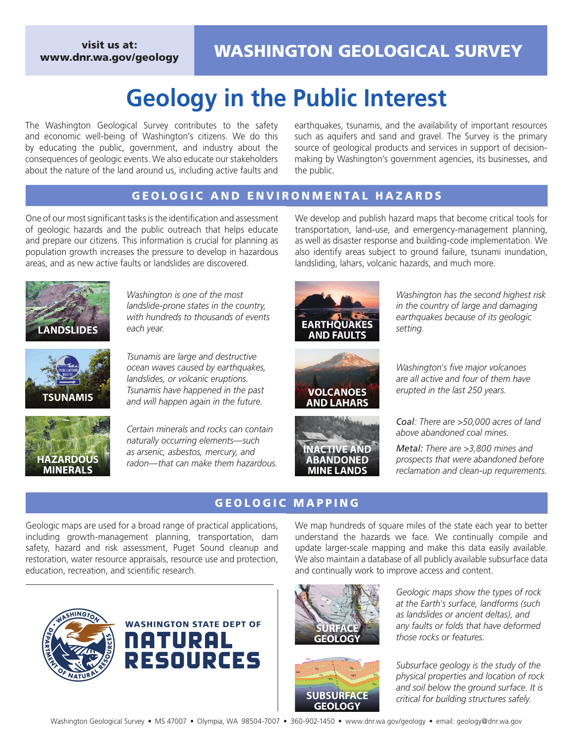#### visit us at: <www.dnr.wa.gov/geology>

## WASHINGTON GEOLOGICAL SURVEY

# **Geology in the Public Interest**

The Washington Geological Survey contributes to the safety and economic well-being of Washington's citizens. We do this by educating the public, government, and industry about the consequences of geologic events. We also educate our stakeholders about the nature of the land around us, including active faults and earthquakes, tsunamis, and the availability of important resources such as aquifers and sand and gravel. The Survey is the primary source of geological products and services in support of decisionmaking by Washington's government agencies, its businesses, and the public.

#### GEOLOGIC AND ENVIRONMENTAL HAZARDS

One of our most significant tasks is the identification and assessment of geologic hazards and the public outreach that helps educate and prepare our citizens. This information is crucial for planning as population growth increases the pressure to develop in hazardous areas, and as new active faults or landslides are discovered.

*each year.* 







*and will happen again in the future.* 

*Washington is one of the most landslide-prone states in the country, with hundreds to thousands of events* 



*Certain minerals and rocks can contain naturally occurring elements—such as arsenic, asbestos, mercury, and radon—that can make them hazardous.* We develop and publish hazard maps that become critical tools for transportation, land-use, and emergency-management planning, as well as disaster response and building-code implementation. We also identify areas subject to ground failure, tsunami inundation, landsliding, lahars, volcanic hazards, and much more.







*Washington has the second highest risk in the country of large and damaging earthquakes because of its geologic setting.* 

*Washington's five major volcanoes are all active and four of them have erupted in the last 250 years.*

*Coal: There are >50,000 acres of land above abandoned coal mines.*

*Metal: There are >3,800 mines and prospects that were abandoned before reclamation and clean-up requirements.* 

### GEOLOGIC MAPPING

Geologic maps are used for a broad range of practical applications, including growth-management planning, transportation, dam safety, hazard and risk assessment, Puget Sound cleanup and restoration, water resource appraisals, resource use and protection, education, recreation, and scientific research.





We map hundreds of square miles of the state each year to better understand the hazards we face. We continually compile and update larger-scale mapping and make this data easily available. We also maintain a database of all publicly available subsurface data and continually work to improve access and content.





*Geologic maps show the types of rock at the Earth's surface, landforms (such as landslides or ancient deltas), and any faults or folds that have deformed those rocks or features.* 

*Subsurface geology is the study of the physical properties and location of rock and soil below the ground surface. It is critical for building structures safely.*